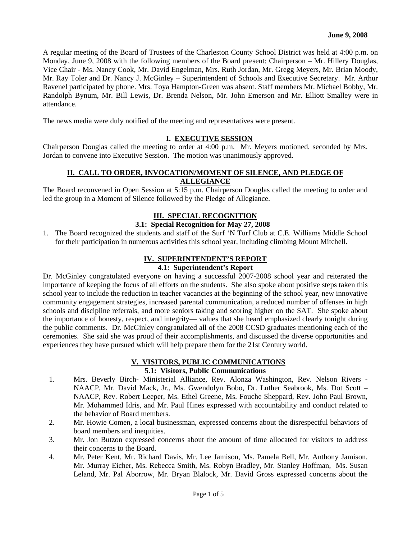A regular meeting of the Board of Trustees of the Charleston County School District was held at 4:00 p.m. on Monday, June 9, 2008 with the following members of the Board present: Chairperson – Mr. Hillery Douglas, Vice Chair - Ms. Nancy Cook, Mr. David Engelman, Mrs. Ruth Jordan, Mr. Gregg Meyers, Mr. Brian Moody, Mr. Ray Toler and Dr. Nancy J. McGinley – Superintendent of Schools and Executive Secretary. Mr. Arthur Ravenel participated by phone. Mrs. Toya Hampton-Green was absent. Staff members Mr. Michael Bobby, Mr. Randolph Bynum, Mr. Bill Lewis, Dr. Brenda Nelson, Mr. John Emerson and Mr. Elliott Smalley were in attendance.

The news media were duly notified of the meeting and representatives were present.

# **I. EXECUTIVE SESSION**

Chairperson Douglas called the meeting to order at 4:00 p.m. Mr. Meyers motioned, seconded by Mrs. Jordan to convene into Executive Session. The motion was unanimously approved.

## **II. CALL TO ORDER, INVOCATION/MOMENT OF SILENCE, AND PLEDGE OF ALLEGIANCE**

The Board reconvened in Open Session at 5:15 p.m. Chairperson Douglas called the meeting to order and led the group in a Moment of Silence followed by the Pledge of Allegiance.

### **III. SPECIAL RECOGNITION**

# **3.1: Special Recognition for May 27, 2008**

1. The Board recognized the students and staff of the Surf 'N Turf Club at C.E. Williams Middle School for their participation in numerous activities this school year, including climbing Mount Mitchell.

# **IV. SUPERINTENDENT'S REPORT**

# **4.1: Superintendent's Report**

Dr. McGinley congratulated everyone on having a successful 2007-2008 school year and reiterated the importance of keeping the focus of all efforts on the students. She also spoke about positive steps taken this school year to include the reduction in teacher vacancies at the beginning of the school year, new innovative community engagement strategies, increased parental communication, a reduced number of offenses in high schools and discipline referrals, and more seniors taking and scoring higher on the SAT. She spoke about the importance of honesty, respect, and integrity— values that she heard emphasized clearly tonight during the public comments. Dr. McGinley congratulated all of the 2008 CCSD graduates mentioning each of the ceremonies. She said she was proud of their accomplishments, and discussed the diverse opportunities and experiences they have pursued which will help prepare them for the 21st Century world.

# **V. VISITORS, PUBLIC COMMUNICATIONS 5.1: Visitors, Public Communications**

- 1. Mrs. Beverly Birch- Ministerial Alliance, Rev. Alonza Washington, Rev. Nelson Rivers NAACP, Mr. David Mack, Jr., Ms. Gwendolyn Bobo, Dr. Luther Seabrook, Ms. Dot Scott – NAACP, Rev. Robert Leeper, Ms. Ethel Greene, Ms. Fouche Sheppard, Rev. John Paul Brown, Mr. Mohammed Idris, and Mr. Paul Hines expressed with accountability and conduct related to the behavior of Board members.
- 2. Mr. Howie Comen, a local businessman, expressed concerns about the disrespectful behaviors of board members and inequities.
- 3. Mr. Jon Butzon expressed concerns about the amount of time allocated for visitors to address their concerns to the Board.
- 4. Mr. Peter Kent, Mr. Richard Davis, Mr. Lee Jamison, Ms. Pamela Bell, Mr. Anthony Jamison, Mr. Murray Eicher, Ms. Rebecca Smith, Ms. Robyn Bradley, Mr. Stanley Hoffman, Ms. Susan Leland, Mr. Pal Aborrow, Mr. Bryan Blalock, Mr. David Gross expressed concerns about the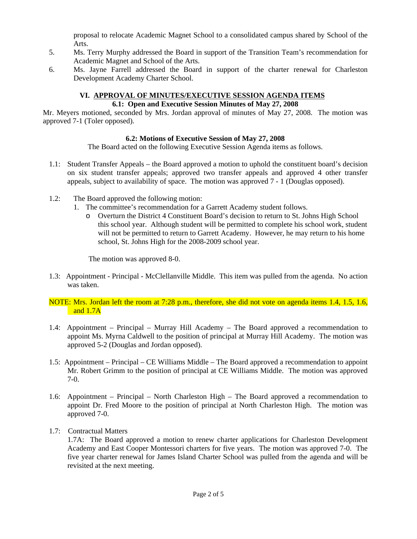proposal to relocate Academic Magnet School to a consolidated campus shared by School of the Arts.

- 5. Ms. Terry Murphy addressed the Board in support of the Transition Team's recommendation for Academic Magnet and School of the Arts.
- 6. Ms. Jayne Farrell addressed the Board in support of the charter renewal for Charleston Development Academy Charter School.

#### **VI. APPROVAL OF MINUTES/EXECUTIVE SESSION AGENDA ITEMS 6.1: Open and Executive Session Minutes of May 27, 2008**

Mr. Meyers motioned, seconded by Mrs. Jordan approval of minutes of May 27, 2008. The motion was approved 7-1 (Toler opposed).

# **6.2: Motions of Executive Session of May 27, 2008**

The Board acted on the following Executive Session Agenda items as follows.

- 1.1: Student Transfer Appeals the Board approved a motion to uphold the constituent board's decision on six student transfer appeals; approved two transfer appeals and approved 4 other transfer appeals, subject to availability of space. The motion was approved 7 - 1 (Douglas opposed).
- 1.2: The Board approved the following motion:
	- 1. The committee's recommendation for a Garrett Academy student follows.
		- o Overturn the District 4 Constituent Board's decision to return to St. Johns High School this school year. Although student will be permitted to complete his school work, student will not be permitted to return to Garrett Academy. However, he may return to his home school, St. Johns High for the 2008-2009 school year.

The motion was approved 8-0.

1.3: Appointment - Principal - McClellanville Middle. This item was pulled from the agenda. No action was taken.

# NOTE: Mrs. Jordan left the room at 7:28 p.m., therefore, she did not vote on agenda items 1.4, 1.5, 1.6, and 1.7A

- 1.4: Appointment Principal Murray Hill Academy The Board approved a recommendation to appoint Ms. Myrna Caldwell to the position of principal at Murray Hill Academy. The motion was approved 5-2 (Douglas and Jordan opposed).
- 1.5: Appointment Principal CE Williams Middle The Board approved a recommendation to appoint Mr. Robert Grimm to the position of principal at CE Williams Middle. The motion was approved 7-0.
- 1.6: Appointment Principal North Charleston High The Board approved a recommendation to appoint Dr. Fred Moore to the position of principal at North Charleston High. The motion was approved 7-0.
- 1.7: Contractual Matters

 1.7A: The Board approved a motion to renew charter applications for Charleston Development Academy and East Cooper Montessori charters for five years. The motion was approved 7-0. The five year charter renewal for James Island Charter School was pulled from the agenda and will be revisited at the next meeting.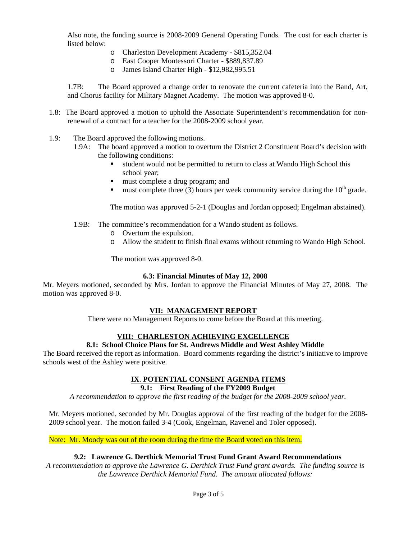Also note, the funding source is 2008-2009 General Operating Funds. The cost for each charter is listed below:

- o Charleston Development Academy \$815,352.04
- o East Cooper Montessori Charter \$889,837.89
- o James Island Charter High \$12,982,995.51

 1.7B: The Board approved a change order to renovate the current cafeteria into the Band, Art, and Chorus facility for Military Magnet Academy. The motion was approved 8-0.

- 1.8: The Board approved a motion to uphold the Associate Superintendent's recommendation for nonrenewal of a contract for a teacher for the 2008-2009 school year.
- 1.9: The Board approved the following motions.
	- 1.9A: The board approved a motion to overturn the District 2 Constituent Board's decision with the following conditions:
		- student would not be permitted to return to class at Wando High School this school year;
		- must complete a drug program; and
		- must complete three (3) hours per week community service during the  $10<sup>th</sup>$  grade.

The motion was approved 5-2-1 (Douglas and Jordan opposed; Engelman abstained).

- 1.9B: The committee's recommendation for a Wando student as follows.
	- o Overturn the expulsion.
	- o Allow the student to finish final exams without returning to Wando High School.

The motion was approved 8-0.

### **6.3: Financial Minutes of May 12, 2008**

Mr. Meyers motioned, seconded by Mrs. Jordan to approve the Financial Minutes of May 27, 2008. The motion was approved 8-0.

### **VII: MANAGEMENT REPORT**

There were no Management Reports to come before the Board at this meeting.

# **VIII: CHARLESTON ACHIEVING EXCELLENCE**

# **8.1: School Choice Plans for St. Andrews Middle and West Ashley Middle**

The Board received the report as information. Board comments regarding the district's initiative to improve schools west of the Ashley were positive.

### **IX**. **POTENTIAL CONSENT AGENDA ITEMS**

## **9.1: First Reading of the FY2009 Budget**

*A recommendation to approve the first reading of the budget for the 2008-2009 school year.* 

Mr. Meyers motioned, seconded by Mr. Douglas approval of the first reading of the budget for the 2008- 2009 school year. The motion failed 3-4 (Cook, Engelman, Ravenel and Toler opposed).

Note: Mr. Moody was out of the room during the time the Board voted on this item.

# **9.2: Lawrence G. Derthick Memorial Trust Fund Grant Award Recommendations**

*A recommendation to approve the Lawrence G. Derthick Trust Fund grant awards. The funding source is the Lawrence Derthick Memorial Fund. The amount allocated follows:*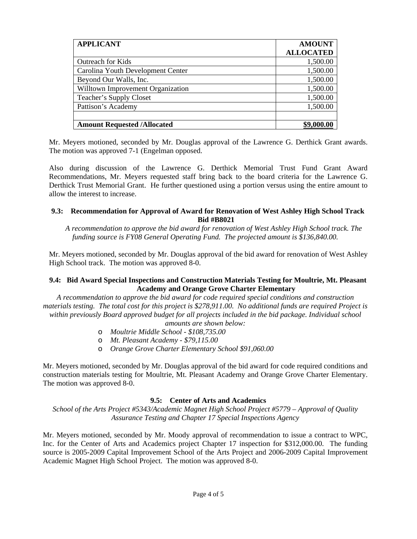| <b>APPLICANT</b>                   | <b>AMOUNT</b>    |
|------------------------------------|------------------|
|                                    | <b>ALLOCATED</b> |
| <b>Outreach for Kids</b>           | 1,500.00         |
| Carolina Youth Development Center  | 1,500.00         |
| Beyond Our Walls, Inc.             | 1,500.00         |
| Willtown Improvement Organization  | 1,500.00         |
| Teacher's Supply Closet            | 1,500.00         |
| Pattison's Academy                 | 1,500.00         |
|                                    |                  |
| <b>Amount Requested /Allocated</b> |                  |

Mr. Meyers motioned, seconded by Mr. Douglas approval of the Lawrence G. Derthick Grant awards. The motion was approved 7-1 (Engelman opposed.

Also during discussion of the Lawrence G. Derthick Memorial Trust Fund Grant Award Recommendations, Mr. Meyers requested staff bring back to the board criteria for the Lawrence G. Derthick Trust Memorial Grant. He further questioned using a portion versus using the entire amount to allow the interest to increase.

## **9.3: Recommendation for Approval of Award for Renovation of West Ashley High School Track Bid #B8021**

 *A recommendation to approve the bid award for renovation of West Ashley High School track. The funding source is FY08 General Operating Fund. The projected amount is \$136,840.00.* 

Mr. Meyers motioned, seconded by Mr. Douglas approval of the bid award for renovation of West Ashley High School track. The motion was approved 8-0.

### **9.4: Bid Award Special Inspections and Construction Materials Testing for Moultrie, Mt. Pleasant Academy and Orange Grove Charter Elementary**

*A recommendation to approve the bid award for code required special conditions and construction materials testing. The total cost for this project is \$278,911.00. No additional funds are required Project is within previously Board approved budget for all projects included in the bid package. Individual school amounts are shown below:* 

- o *Moultrie Middle School \$108,735.00*
- o *Mt. Pleasant Academy \$79,115.00*
- o *Orange Grove Charter Elementary School \$91,060.00*

Mr. Meyers motioned, seconded by Mr. Douglas approval of the bid award for code required conditions and construction materials testing for Moultrie, Mt. Pleasant Academy and Orange Grove Charter Elementary. The motion was approved 8-0.

### **9.5: Center of Arts and Academics**

*School of the Arts Project #5343/Academic Magnet High School Project #5779 – Approval of Quality Assurance Testing and Chapter 17 Special Inspections Agency* 

Mr. Meyers motioned, seconded by Mr. Moody approval of recommendation to issue a contract to WPC, Inc. for the Center of Arts and Academics project Chapter 17 inspection for \$312,000.00. The funding source is 2005-2009 Capital Improvement School of the Arts Project and 2006-2009 Capital Improvement Academic Magnet High School Project. The motion was approved 8-0.